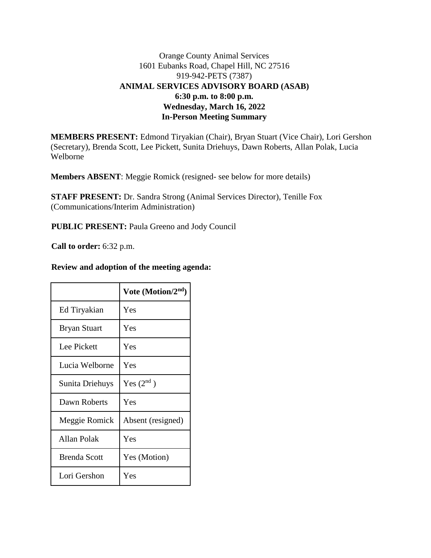# Orange County Animal Services 1601 Eubanks Road, Chapel Hill, NC 27516 919-942-PETS (7387) **ANIMAL SERVICES ADVISORY BOARD (ASAB) 6:30 p.m. to 8:00 p.m. Wednesday, March 16, 2022 In-Person Meeting Summary**

**MEMBERS PRESENT:** Edmond Tiryakian (Chair), Bryan Stuart (Vice Chair), Lori Gershon (Secretary), Brenda Scott, Lee Pickett, Sunita Driehuys, Dawn Roberts, Allan Polak, Lucia Welborne

**Members ABSENT**: Meggie Romick (resigned- see below for more details)

**STAFF PRESENT:** Dr. Sandra Strong (Animal Services Director), Tenille Fox (Communications/Interim Administration)

**PUBLIC PRESENT:** Paula Greeno and Jody Council

**Call to order:** 6:32 p.m.

#### **Review and adoption of the meeting agenda:**

|                     | Vote (Motion/2nd) |
|---------------------|-------------------|
| Ed Tiryakian        | Yes               |
| <b>Bryan Stuart</b> | Yes               |
| Lee Pickett         | Yes               |
| Lucia Welborne      | Yes               |
| Sunita Driehuys     | Yes $(2^{nd})$    |
| Dawn Roberts        | Yes               |
| Meggie Romick       | Absent (resigned) |
| Allan Polak         | Yes               |
| <b>Brenda Scott</b> | Yes (Motion)      |
| Lori Gershon        | Yes               |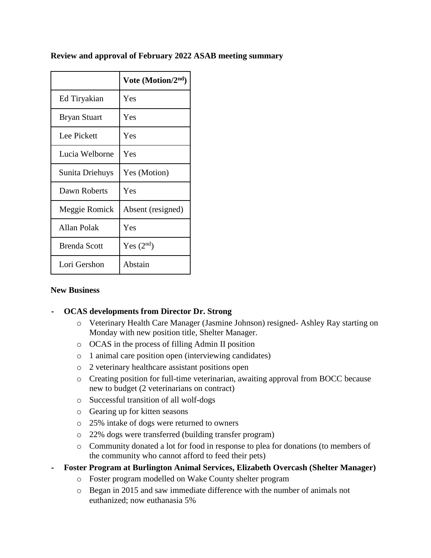#### **Review and approval of February 2022 ASAB meeting summary**

|                     | Vote (Motion/ $2nd$ ) |
|---------------------|-----------------------|
| Ed Tiryakian        | Yes                   |
| <b>Bryan Stuart</b> | Yes                   |
| Lee Pickett         | Yes                   |
| Lucia Welborne      | Yes                   |
| Sunita Driehuys     | Yes (Motion)          |
| Dawn Roberts        | Yes                   |
| Meggie Romick       | Absent (resigned)     |
| <b>Allan Polak</b>  | Yes                   |
| <b>Brenda Scott</b> | Yes $(2nd)$           |
| Lori Gershon        | Abstain               |

#### **New Business**

## **- OCAS developments from Director Dr. Strong**

- o Veterinary Health Care Manager (Jasmine Johnson) resigned- Ashley Ray starting on Monday with new position title, Shelter Manager.
- o OCAS in the process of filling Admin II position
- o 1 animal care position open (interviewing candidates)
- o 2 veterinary healthcare assistant positions open
- o Creating position for full-time veterinarian, awaiting approval from BOCC because new to budget (2 veterinarians on contract)
- o Successful transition of all wolf-dogs
- o Gearing up for kitten seasons
- o 25% intake of dogs were returned to owners
- o 22% dogs were transferred (building transfer program)
- o Community donated a lot for food in response to plea for donations (to members of the community who cannot afford to feed their pets)
- **- Foster Program at Burlington Animal Services, Elizabeth Overcash (Shelter Manager)**
	- o Foster program modelled on Wake County shelter program
	- o Began in 2015 and saw immediate difference with the number of animals not euthanized; now euthanasia 5%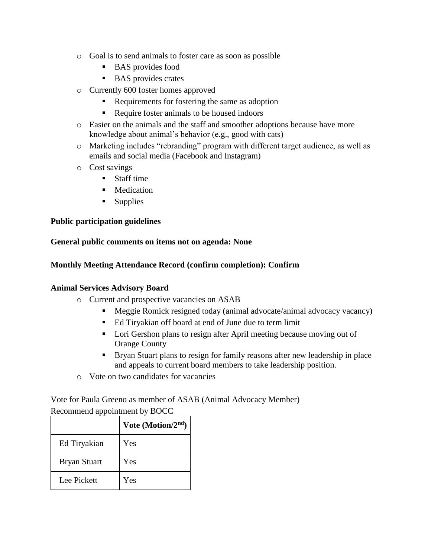- o Goal is to send animals to foster care as soon as possible
	- BAS provides food
	- BAS provides crates
- o Currently 600 foster homes approved
	- Requirements for fostering the same as adoption
	- Require foster animals to be housed indoors
- o Easier on the animals and the staff and smoother adoptions because have more knowledge about animal's behavior (e.g., good with cats)
- o Marketing includes "rebranding" program with different target audience, as well as emails and social media (Facebook and Instagram)
- o Cost savings
	- **Staff time**
	- **Medication**
	- $\blacksquare$  Supplies

## **Public participation guidelines**

#### **General public comments on items not on agenda: None**

## **Monthly Meeting Attendance Record (confirm completion): Confirm**

#### **Animal Services Advisory Board**

- o Current and prospective vacancies on ASAB
	- Meggie Romick resigned today (animal advocate/animal advocacy vacancy)
	- Ed Tiryakian off board at end of June due to term limit
	- Lori Gershon plans to resign after April meeting because moving out of Orange County
	- Bryan Stuart plans to resign for family reasons after new leadership in place and appeals to current board members to take leadership position.
- o Vote on two candidates for vacancies

Vote for Paula Greeno as member of ASAB (Animal Advocacy Member) Recommend appointment by BOCC

|                     | Vote (Motion/ $2nd$ ) |
|---------------------|-----------------------|
| Ed Tiryakian        | Yes                   |
| <b>Bryan Stuart</b> | Yes                   |
| Lee Pickett         | Yes                   |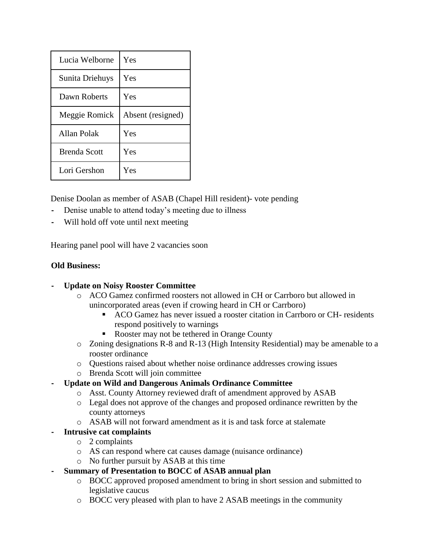| Lucia Welborne      | Yes               |
|---------------------|-------------------|
| Sunita Driehuys     | Yes               |
| Dawn Roberts        | Yes               |
| Meggie Romick       | Absent (resigned) |
| Allan Polak         | Yes               |
| <b>Brenda Scott</b> | Yes               |
| Lori Gershon        | Yes               |

Denise Doolan as member of ASAB (Chapel Hill resident)- vote pending

- **-** Denise unable to attend today's meeting due to illness
- **-** Will hold off vote until next meeting

Hearing panel pool will have 2 vacancies soon

## **Old Business:**

## **- Update on Noisy Rooster Committee**

- o ACO Gamez confirmed roosters not allowed in CH or Carrboro but allowed in unincorporated areas (even if crowing heard in CH or Carrboro)
	- ACO Gamez has never issued a rooster citation in Carrboro or CH- residents respond positively to warnings
	- Rooster may not be tethered in Orange County
- o Zoning designations R-8 and R-13 (High Intensity Residential) may be amenable to a rooster ordinance
- o Questions raised about whether noise ordinance addresses crowing issues
- o Brenda Scott will join committee

# **- Update on Wild and Dangerous Animals Ordinance Committee**

- o Asst. County Attorney reviewed draft of amendment approved by ASAB
- o Legal does not approve of the changes and proposed ordinance rewritten by the county attorneys
- o ASAB will not forward amendment as it is and task force at stalemate

# **- Intrusive cat complaints**

- o 2 complaints
- o AS can respond where cat causes damage (nuisance ordinance)
- o No further pursuit by ASAB at this time
- **- Summary of Presentation to BOCC of ASAB annual plan**
	- o BOCC approved proposed amendment to bring in short session and submitted to legislative caucus
	- o BOCC very pleased with plan to have 2 ASAB meetings in the community